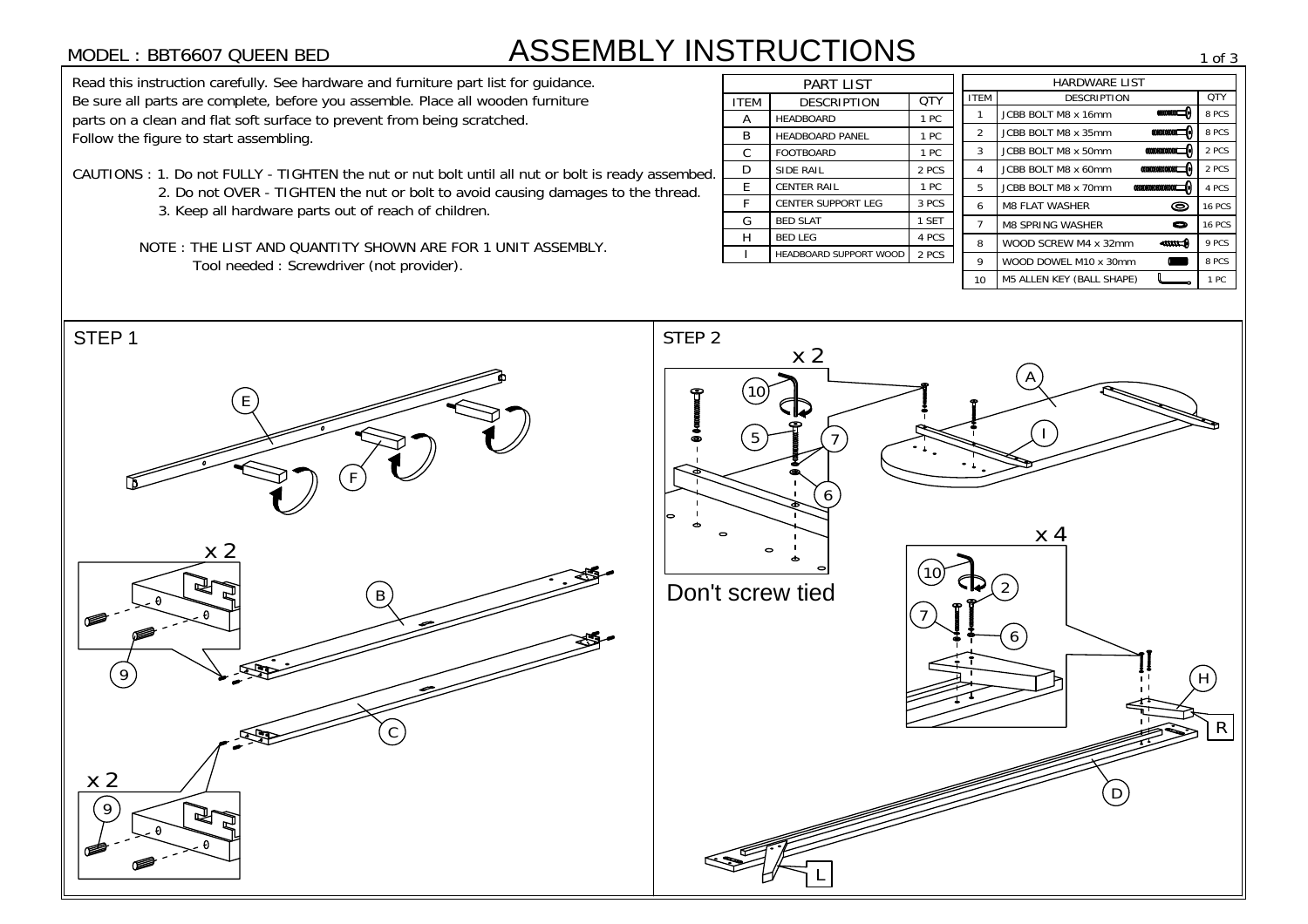## ASSEMBLY INSTRUCTIONS

- -
	-
	-

|             | <b>PART LIST</b>          |       |
|-------------|---------------------------|-------|
| <b>ITEM</b> | DESCRIPTION               | QTY   |
| A           | <b>HEADBOARD</b>          | 1 PC  |
| B           | <b>HEADBOARD PANEL</b>    | 1 PC  |
| C           | <b>FOOTBOARD</b>          | 1 PC  |
| D           | <b>SIDE RAIL</b>          | 2 PCS |
| E           | <b>CENTER RAIL</b>        | 1 PC  |
| F           | <b>CENTER SUPPORT LEG</b> | 3 PCS |
| G           | <b>BED SLAT</b>           | 1 SET |
| н           | <b>BED LEG</b>            | 4 PCS |
|             | HEADBOARD SUPPORT WOOD    | 2 PCS |
|             |                           |       |

| <b>ASSEMBLY INSTRUCTIONS</b><br>MODEL : BBT6607 QUEEN BED                                                         |             |                                |       |               |                                                                                                                                         | 1 of 3        |
|-------------------------------------------------------------------------------------------------------------------|-------------|--------------------------------|-------|---------------|-----------------------------------------------------------------------------------------------------------------------------------------|---------------|
| Read this instruction carefully. See hardware and furniture part list for guidance.                               |             | <b>PART LIST</b>               |       |               | <b>HARDWARE LIST</b>                                                                                                                    |               |
| Be sure all parts are complete, before you assemble. Place all wooden furniture                                   | <b>ITEM</b> | <b>DESCRIPTION</b>             | QTY   | <b>ITEM</b>   | <b>DESCRIPTION</b>                                                                                                                      | QTY           |
| parts on a clean and flat soft surface to prevent from being scratched.<br>Follow the figure to start assembling. |             | <b>HEADBOARD</b>               | 1 PC  |               | $\Theta$<br>JCBB BOLT M8 x 16mm                                                                                                         | 8 PCS         |
|                                                                                                                   |             | <b>HEADBOARD PANEL</b>         | 1 PC  | 2             | $\mathfrak{m}\mathfrak{m}\mathfrak{m}$<br>JCBB BOLT M8 x 35mm                                                                           | 8 PCS         |
|                                                                                                                   | $\sim$<br>∪ | <b>FOOTBOARD</b>               | 1 PC  | 3             | $\alpha$<br>JCBB BOLT M8 x 50mm                                                                                                         | 2 PCS         |
| CAUTIONS : 1. Do not FULLY - TIGHTEN the nut or nut bolt until all nut or bolt is ready assembed.                 | D           | <b>SIDE RAIL</b>               | 2 PCS |               | $\mathcal{C}$<br>JCBB BOLT M8 x 60mm                                                                                                    | 2 PCS         |
| 2. Do not OVER - TIGHTEN the nut or bolt to avoid causing damages to the thread.                                  | E           | <b>CENTER RAIL</b>             | 1 PC  | $\frac{5}{2}$ | $\alpha \alpha \alpha \alpha \alpha \alpha \alpha \alpha \alpha \alpha \alpha \alpha \beta \gamma \delta$<br><b>JCBB BOLT M8 x 70mm</b> | 4 PCS         |
| 3. Keep all hardware parts out of reach of children.                                                              |             | <b>CENTER SUPPORT LEG</b>      | 3 PCS | 6             | $\bullet$<br><b>M8 FLAT WASHER</b>                                                                                                      | <b>16 PCS</b> |
|                                                                                                                   | G           | <b>BED SLAT</b>                | 1 SET |               | <b>M8 SPRING WASHER</b><br>$\bullet$                                                                                                    | <b>16 PCS</b> |
| NOTE: THE LIST AND QUANTITY SHOWN ARE FOR 1 UNIT ASSEMBLY.                                                        |             | BED LEG                        | 4 PCS | 8             | WOOD SCREW M4 x 32mm<br>$rac{1}{2}$                                                                                                     | 9 PCS         |
| Tool needed : Screwdriver (not provider).                                                                         |             | HEADBOARD SUPPORT WOOD   2 PCS |       | 9             | WOOD DOWEL M10 x 30mm                                                                                                                   | 8 PCS         |
|                                                                                                                   |             |                                |       |               | <b>M5 ALLEN KEY (BALL SHAPE)</b>                                                                                                        | 1 PC          |

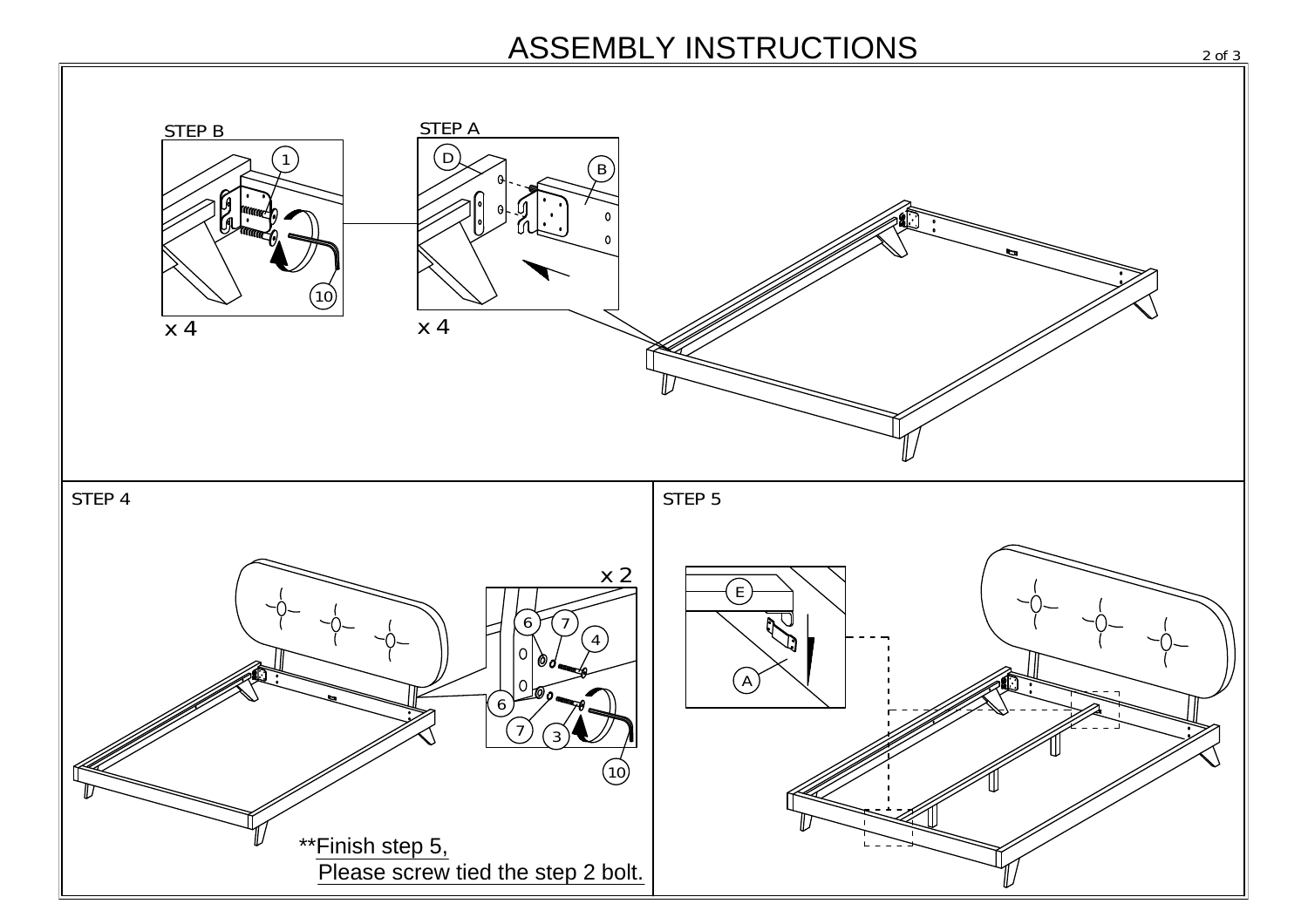## ASSEMBLY INSTRUCTIONS 2013